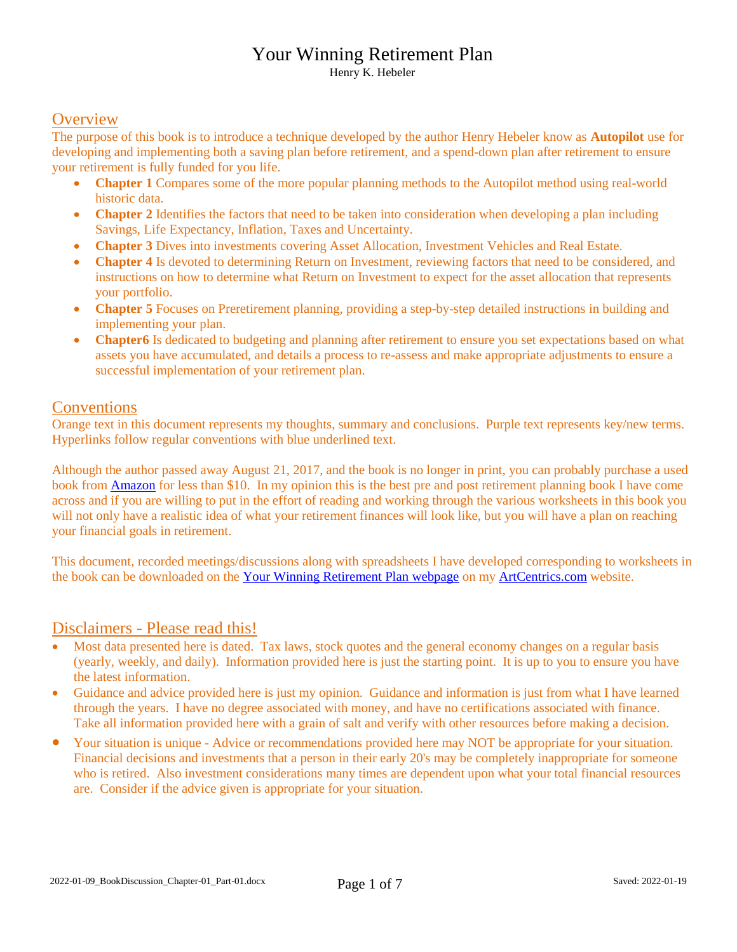Henry K. Hebeler

#### **Overview**

The purpose of this book is to introduce a technique developed by the author Henry Hebeler know as **Autopilot** use for developing and implementing both a saving plan before retirement, and a spend-down plan after retirement to ensure your retirement is fully funded for you life.

- **Chapter 1** Compares some of the more popular planning methods to the Autopilot method using real-world historic data.
- **Chapter 2** Identifies the factors that need to be taken into consideration when developing a plan including Savings, Life Expectancy, Inflation, Taxes and Uncertainty.
- **Chapter 3** Dives into investments covering Asset Allocation, Investment Vehicles and Real Estate.
- **Chapter 4** Is devoted to determining Return on Investment, reviewing factors that need to be considered, and instructions on how to determine what Return on Investment to expect for the asset allocation that represents your portfolio.
- **Chapter 5** Focuses on Preretirement planning, providing a step-by-step detailed instructions in building and implementing your plan.
- **Chapter6** Is dedicated to budgeting and planning after retirement to ensure you set expectations based on what assets you have accumulated, and details a process to re-assess and make appropriate adjustments to ensure a successful implementation of your retirement plan.

#### **Conventions**

Orange text in this document represents my thoughts, summary and conclusions. Purple text represents key/new terms. Hyperlinks follow regular conventions with blue underlined text.

Although the author passed away August 21, 2017, and the book is no longer in print, you can probably purchase a used book from [Amazon](https://smile.amazon.com/Lassers-Winning-Retirement-Lasser-Guide/dp/0471411248/ref=sr_1_3?crid=20J1PXEW51IL6&keywords=your+winning+retirement+plan&qid=1638045148&qsid=136-0906374-9976959&sprefix=your+winning+%2Caps%2C225&sr=8-3&sres=0471411248%2C1736660705%2C0692197893%2CB082ZQ5TPX%2C1426216904%2C0393358380%2C1635968534%2CB07KRGVCZY%2C1734023007%2CB00916ARYS%2C1645262758%2C1522875212%2C1454928859%2CB08R7PQDW6%2C0310229081%2CB08NTSFMJL&srpt=ABIS_BOOK) for less than \$10. In my opinion this is the best pre and post retirement planning book I have come across and if you are willing to put in the effort of reading and working through the various worksheets in this book you will not only have a realistic idea of what your retirement finances will look like, but you will have a plan on reaching your financial goals in retirement.

This document, recorded meetings/discussions along with spreadsheets I have developed corresponding to worksheets in the book can be downloaded on th[e Your Winning Retirement Plan webpage](http://www.artcentrics.com/13_MoneyMatters/Your_Winning_Retirement_Plan/Your_Winning_Retirement_Plan.htm) on m[y ArtCentrics.com](http://www.artcentrics.com/) website.

## Disclaimers - Please read this!

- Most data presented here is dated. Tax laws, stock quotes and the general economy changes on a regular basis (yearly, weekly, and daily). Information provided here is just the starting point. It is up to you to ensure you have the latest information.
- Guidance and advice provided here is just my opinion. Guidance and information is just from what I have learned through the years. I have no degree associated with money, and have no certifications associated with finance. Take all information provided here with a grain of salt and verify with other resources before making a decision.
- Your situation is unique Advice or recommendations provided here may NOT be appropriate for your situation. Financial decisions and investments that a person in their early 20's may be completely inappropriate for someone who is retired. Also investment considerations many times are dependent upon what your total financial resources are. Consider if the advice given is appropriate for your situation.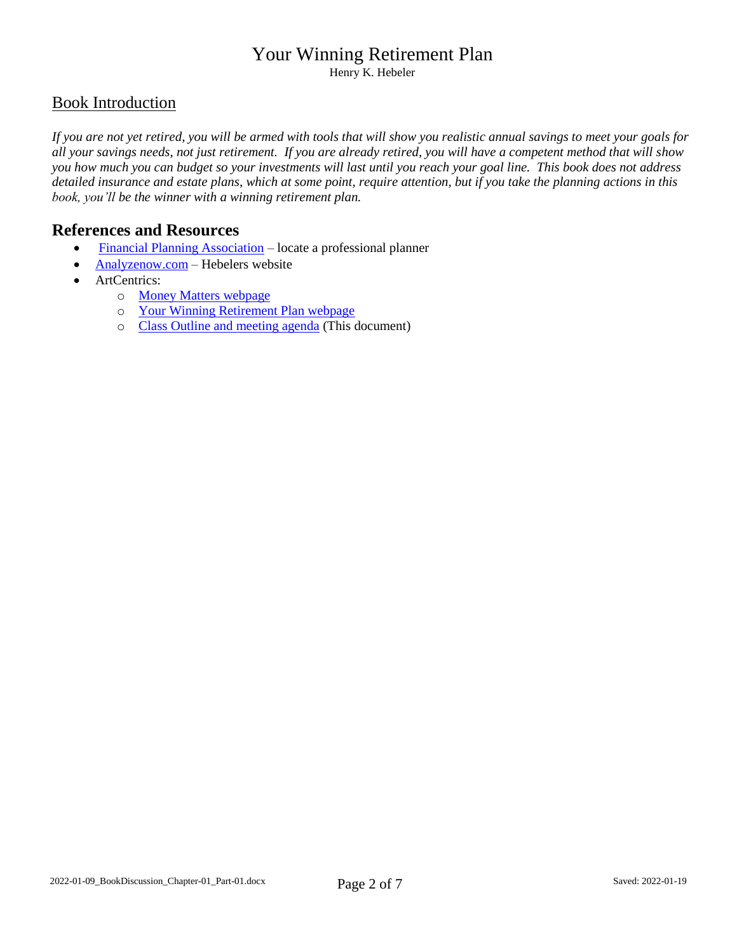Henry K. Hebeler

## Book Introduction

*If you are not yet retired, you will be armed with tools that will show you realistic annual savings to meet your goals for all your savings needs, not just retirement. If you are already retired, you will have a competent method that will show you how much you can budget so your investments will last until you reach your goal line. This book does not address detailed insurance and estate plans, which at some point, require attention, but if you take the planning actions in this book, you'll be the winner with a winning retirement plan.*

## **References and Resources**

- [Financial Planning Association](https://www.financialplanningassociation.org/) locate a professional planner
- $\bullet$  [Analyzenow.com](http://www.analyzenow.com/) Hebelers website
- ArtCentrics:
	- o [Money Matters webpage](http://www.artcentrics.com/13_MoneyMatters/Money_Matters.htm)
	- o [Your Winning Retirement Plan webpage](http://www.artcentrics.com/13_MoneyMatters/Your_Winning_Retirement_Plan/Your_Winning_Retirement_Plan.htm)
	- o [Class Outline and meeting agenda](http://www.artcentrics.com/13_MoneyMatters/Your_Winning_Retirement_Plan/Discussion-Your_Winning_Retirement_Plan_-_Henry_K_Hebeler.pdf) (This document)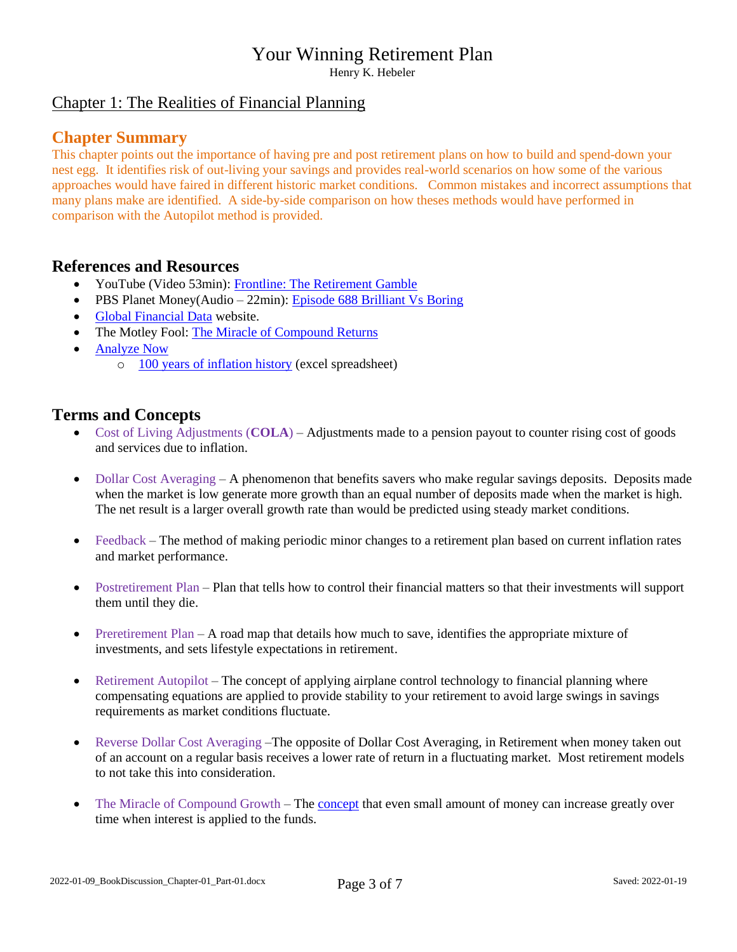Henry K. Hebeler

## Chapter 1: The Realities of Financial Planning

#### **Chapter Summary**

This chapter points out the importance of having pre and post retirement plans on how to build and spend-down your nest egg. It identifies risk of out-living your savings and provides real-world scenarios on how some of the various approaches would have faired in different historic market conditions. Common mistakes and incorrect assumptions that many plans make are identified. A side-by-side comparison on how theses methods would have performed in comparison with the Autopilot method is provided.

## **References and Resources**

- YouTube (Video 53min): [Frontline: The Retirement Gamble](https://www.youtube.com/hashtag/retirementgamble)
- PBS Planet Money(Audio 22min): [Episode 688 Brilliant Vs Boring](https://www.npr.org/sections/money/2019/01/23/688018907/episode-688-brilliant-vs-boring)
- [Global Financial Data](https://globalfinancialdata.com/) website.
- The Motley Fool: [The Miracle of Compound Returns](https://www.fool.co.uk/investing-basics/the-miracle-of-compound-returns/)
- [Analyze Now](http://www.analyzenow.com/)
	- o [100 years of inflation history](http://www.analyzenow.com/Free%20Programs/Free%20Programs/100%20years%20of%20inflation%201-14-15.xls) (excel spreadsheet)

## **Terms and Concepts**

- Cost of Living Adjustments (**COLA**) Adjustments made to a pension payout to counter rising cost of goods and services due to inflation.
- Dollar Cost Averaging A phenomenon that benefits savers who make regular savings deposits. Deposits made when the market is low generate more growth than an equal number of deposits made when the market is high. The net result is a larger overall growth rate than would be predicted using steady market conditions.
- Feedback The method of making periodic minor changes to a retirement plan based on current inflation rates and market performance.
- Postretirement Plan Plan that tells how to control their financial matters so that their investments will support them until they die.
- Preretirement Plan A road map that details how much to save, identifies the appropriate mixture of investments, and sets lifestyle expectations in retirement.
- Retirement Autopilot The concept of applying airplane control technology to financial planning where compensating equations are applied to provide stability to your retirement to avoid large swings in savings requirements as market conditions fluctuate.
- Reverse Dollar Cost Averaging –The opposite of Dollar Cost Averaging, in Retirement when money taken out of an account on a regular basis receives a lower rate of return in a fluctuating market. Most retirement models to not take this into consideration.
- The Miracle of Compound Growth The **concept** that even small amount of money can increase greatly over time when interest is applied to the funds.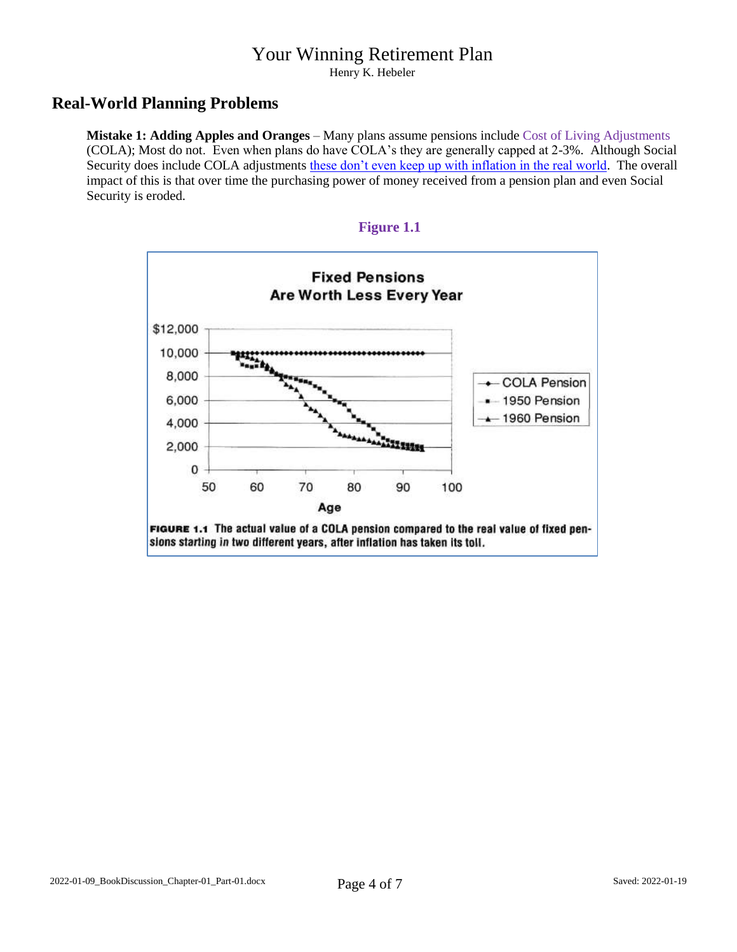Henry K. Hebeler

## **Real-World Planning Problems**

**Mistake 1: Adding Apples and Oranges** – Many plans assume pensions include Cost of Living Adjustments (COLA); Most do not. Even when plans do have COLA's they are generally capped at 2-3%. Although Social Security does include COLA adjustments [these don't even keep up with inflation in the real world.](https://www.pbs.org/newshour/economy/making-sense/why-social-securitys-annual-increase-doesnt-actually-keep-up-with-cost-of-living) The overall impact of this is that over time the purchasing power of money received from a pension plan and even Social Security is eroded.



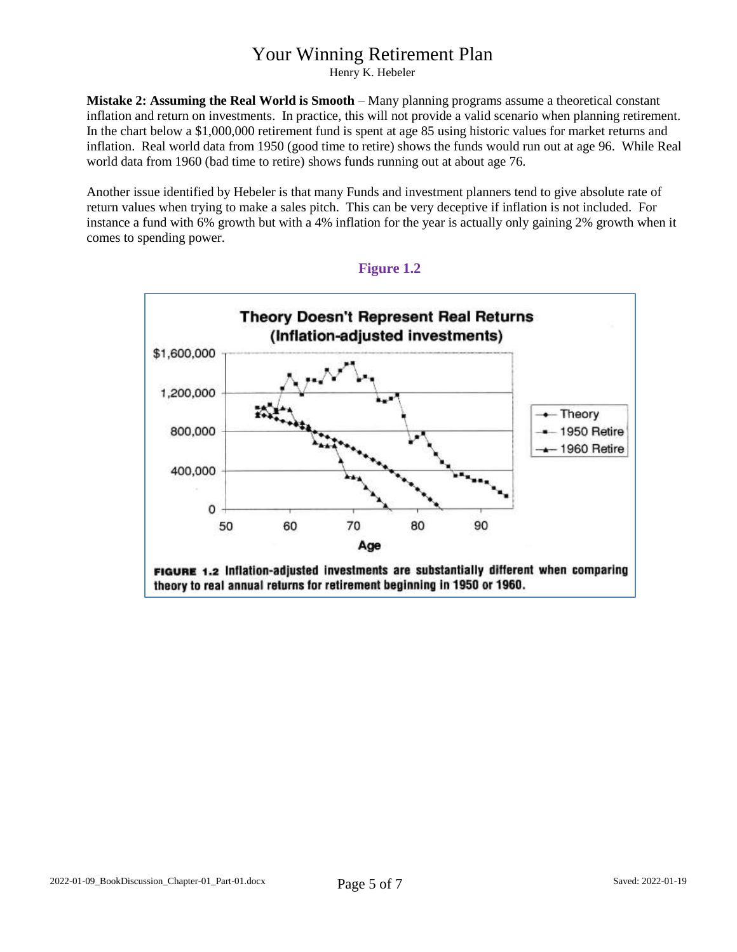Henry K. Hebeler

**Mistake 2: Assuming the Real World is Smooth** – Many planning programs assume a theoretical constant inflation and return on investments. In practice, this will not provide a valid scenario when planning retirement. In the chart below a \$1,000,000 retirement fund is spent at age 85 using historic values for market returns and inflation. Real world data from 1950 (good time to retire) shows the funds would run out at age 96. While Real world data from 1960 (bad time to retire) shows funds running out at about age 76.

Another issue identified by Hebeler is that many Funds and investment planners tend to give absolute rate of return values when trying to make a sales pitch. This can be very deceptive if inflation is not included. For instance a fund with 6% growth but with a 4% inflation for the year is actually only gaining 2% growth when it comes to spending power.



#### **Figure 1.2**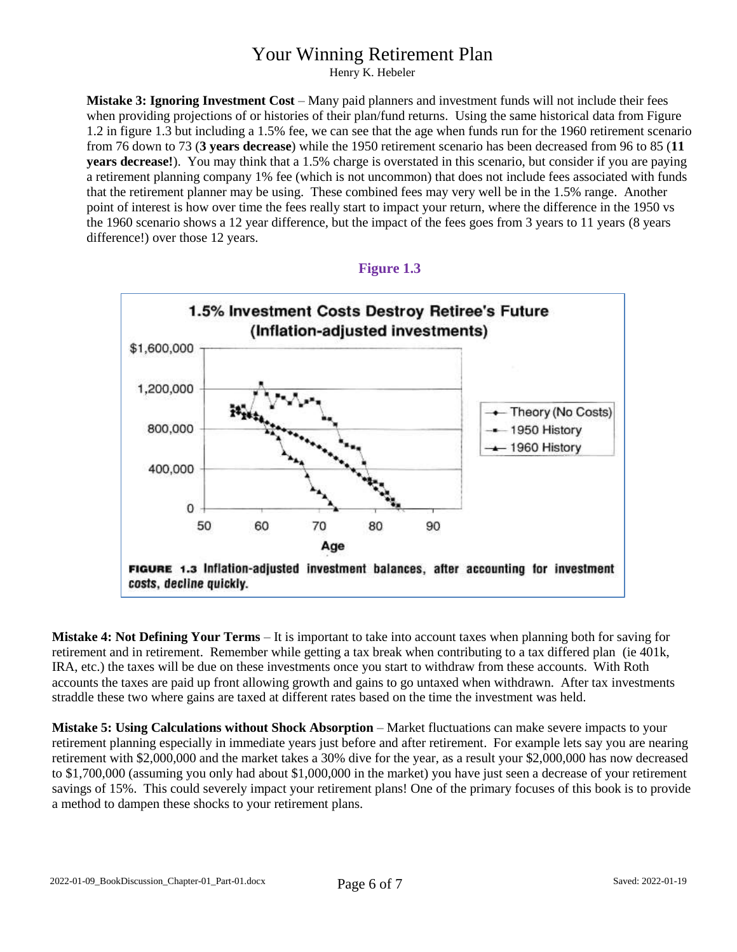Henry K. Hebeler

**Mistake 3: Ignoring Investment Cost** – Many paid planners and investment funds will not include their fees when providing projections of or histories of their plan/fund returns. Using the same historical data from Figure 1.2 in figure 1.3 but including a 1.5% fee, we can see that the age when funds run for the 1960 retirement scenario from 76 down to 73 (**3 years decrease**) while the 1950 retirement scenario has been decreased from 96 to 85 (**11 years decrease!**). You may think that a 1.5% charge is overstated in this scenario, but consider if you are paying a retirement planning company 1% fee (which is not uncommon) that does not include fees associated with funds that the retirement planner may be using. These combined fees may very well be in the 1.5% range. Another point of interest is how over time the fees really start to impact your return, where the difference in the 1950 vs the 1960 scenario shows a 12 year difference, but the impact of the fees goes from 3 years to 11 years (8 years difference!) over those 12 years.



**Figure 1.3**

**Mistake 4: Not Defining Your Terms** – It is important to take into account taxes when planning both for saving for retirement and in retirement. Remember while getting a tax break when contributing to a tax differed plan (ie 401k, IRA, etc.) the taxes will be due on these investments once you start to withdraw from these accounts. With Roth accounts the taxes are paid up front allowing growth and gains to go untaxed when withdrawn. After tax investments straddle these two where gains are taxed at different rates based on the time the investment was held.

**Mistake 5: Using Calculations without Shock Absorption** – Market fluctuations can make severe impacts to your retirement planning especially in immediate years just before and after retirement. For example lets say you are nearing retirement with \$2,000,000 and the market takes a 30% dive for the year, as a result your \$2,000,000 has now decreased to \$1,700,000 (assuming you only had about \$1,000,000 in the market) you have just seen a decrease of your retirement savings of 15%. This could severely impact your retirement plans! One of the primary focuses of this book is to provide a method to dampen these shocks to your retirement plans.